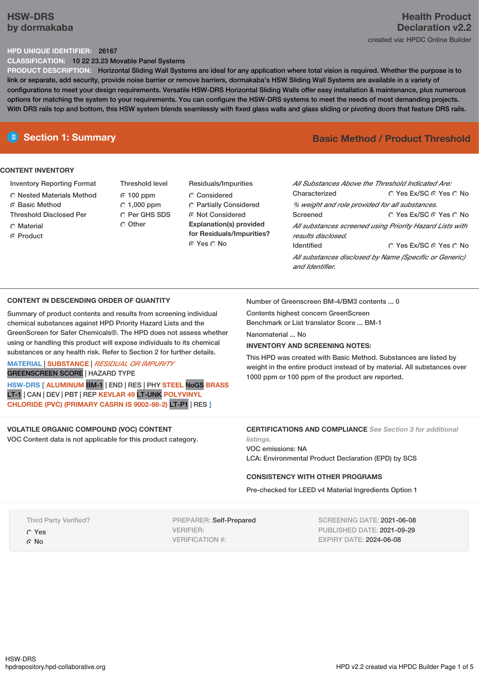# **HSW-DRS by dormakaba**

# **Health Product Declaration v2.2** created via: HPDC Online Builder

## **HPD UNIQUE IDENTIFIER:** 26167

**CLASSIFICATION:** 10 22 23.23 Movable Panel Systems

**PRODUCT DESCRIPTION:** Horizontal Sliding Wall Systems are ideal for any application where total vision is required. Whether the purpose is to link or separate, add security, provide noise barrier or remove barriers, dormakaba's HSW Sliding Wall Systems are available in a variety of configurations to meet your design requirements. Versatile HSW-DRS Horizontal Sliding Walls offer easy installation & maintenance, plus numerous options for matching the system to your requirements. You can configure the HSW-DRS systems to meet the needs of most demanding projects. With DRS rails top and bottom, this HSW system blends seamlessly with fixed glass walls and glass sliding or pivoting doors that feature DRS rails.

# **CONTENT INVENTORY**

- Inventory Reporting Format
- Nested Materials Method
- **G** Basic Method
- Threshold Disclosed Per
- C Material
- C Product
- Threshold level 100 ppm  $C$  1,000 ppm C Per GHS SDS O Other
- Residuals/Impurities Considered Partially Considered Not Considered **Explanation(s) provided for Residuals/Impurities?** © Yes ∩ No

# **E** Section 1: Summary **Basic** Method **/ Product Threshold**

| All Substances Above the Threshold Indicated Are:                              |                        |  |  |  |
|--------------------------------------------------------------------------------|------------------------|--|--|--|
| Characterized                                                                  | ∩ Yes Ex/SC ∩ Yes ∩ No |  |  |  |
| % weight and role provided for all substances.                                 |                        |  |  |  |
| Screened                                                                       | ∩ Yes Ex/SC ∩ Yes ∩ No |  |  |  |
| All substances screened using Priority Hazard Lists with<br>results disclosed. |                        |  |  |  |
| Identified                                                                     | ∩ Yes Ex/SC ∩ Yes ∩ No |  |  |  |
| All substances disclosed by Name (Specific or Generic)<br>and Identifier.      |                        |  |  |  |

### **CONTENT IN DESCENDING ORDER OF QUANTITY**

Summary of product contents and results from screening individual chemical substances against HPD Priority Hazard Lists and the GreenScreen for Safer Chemicals®. The HPD does not assess whether using or handling this product will expose individuals to its chemical substances or any health risk. Refer to Section 2 for further details.

# **MATERIAL** | **SUBSTANCE** | *RESIDUAL OR IMPURITY*

GREENSCREEN SCORE | HAZARD TYPE

**HSW-DRS [ ALUMINUM** BM-1 | END | RES | PHY **STEEL** NoGS **BRASS** LT-1 | CAN | DEV | PBT | REP **KEVLAR 49** LT-UNK **POLYVINYL CHLORIDE (PVC) (PRIMARY CASRN IS 9002-86-2)** LT-P1 | RES **]**

## **VOLATILE ORGANIC COMPOUND (VOC) CONTENT**

VOC Content data is not applicable for this product category.

Number of Greenscreen BM-4/BM3 contents ... 0

Contents highest concern GreenScreen Benchmark or List translator Score ... BM-1

Nanomaterial ... No

## **INVENTORY AND SCREENING NOTES:**

This HPD was created with Basic Method. Substances are listed by weight in the entire product instead of by material. All substances over 1000 ppm or 100 ppm of the product are reported.

### **CERTIFICATIONS AND COMPLIANCE** *See Section 3 for additional listings.*

VOC emissions: NA LCA: Environmental Product Declaration (EPD) by SCS

## **CONSISTENCY WITH OTHER PROGRAMS**

Pre-checked for LEED v4 Material Ingredients Option 1

Third Party Verified?

Yes

G No

PREPARER: Self-Prepared VERIFIER: VERIFICATION #:

SCREENING DATE: 2021-06-08 PUBLISHED DATE: 2021-09-29 EXPIRY DATE: 2024-06-08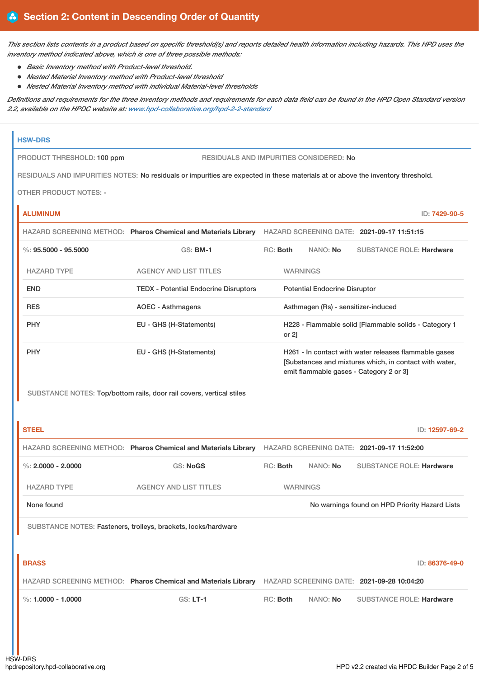This section lists contents in a product based on specific threshold(s) and reports detailed health information including hazards. This HPD uses the *inventory method indicated above, which is one of three possible methods:*

- *Basic Inventory method with Product-level threshold.*
- *Nested Material Inventory method with Product-level threshold*
- *Nested Material Inventory method with individual Material-level thresholds*

Definitions and requirements for the three inventory methods and requirements for each data field can be found in the HPD Open Standard version *2.2, available on the HPDC website at: [www.hpd-collaborative.org/hpd-2-2-standard](https://www.hpd-collaborative.org/hpd-2-2-standard)*

## **HSW-DRS**

PRODUCT THRESHOLD: 100 ppm RESIDUALS AND IMPURITIES CONSIDERED: No

RESIDUALS AND IMPURITIES NOTES: No residuals or impurities are expected in these materials at or above the inventory threshold.

OTHER PRODUCT NOTES: -

**ALUMINUM** ID: **7429-90-5**

|                         | HAZARD SCREENING METHOD: Pharos Chemical and Materials Library | HAZARD SCREENING DATE: 2021-09-17 11:51:15 |                 |                 |                                                                                                                                                            |
|-------------------------|----------------------------------------------------------------|--------------------------------------------|-----------------|-----------------|------------------------------------------------------------------------------------------------------------------------------------------------------------|
| $\%: 95.5000 - 95.5000$ | $GS:$ BM-1                                                     |                                            | RC: Both        | NANO: <b>No</b> | <b>SUBSTANCE ROLE: Hardware</b>                                                                                                                            |
| <b>HAZARD TYPE</b>      | <b>AGENCY AND LIST TITLES</b>                                  |                                            | <b>WARNINGS</b> |                 |                                                                                                                                                            |
| <b>END</b>              | <b>TEDX - Potential Endocrine Disruptors</b>                   | <b>Potential Endocrine Disruptor</b>       |                 |                 |                                                                                                                                                            |
| <b>RES</b>              | AOEC - Asthmagens                                              |                                            |                 |                 | Asthmagen (Rs) - sensitizer-induced                                                                                                                        |
| <b>PHY</b>              | EU - GHS (H-Statements)                                        |                                            | or $2$ ]        |                 | H228 - Flammable solid [Flammable solids - Category 1                                                                                                      |
| <b>PHY</b>              | EU - GHS (H-Statements)                                        |                                            |                 |                 | H261 - In contact with water releases flammable gases<br>[Substances and mixtures which, in contact with water,<br>emit flammable gases - Category 2 or 3] |

SUBSTANCE NOTES: Top/bottom rails, door rail covers, vertical stiles

| <b>STEEL</b>         |                                                                |                 |          | ID: 12597-69-2                                 |
|----------------------|----------------------------------------------------------------|-----------------|----------|------------------------------------------------|
|                      | HAZARD SCREENING METHOD: Pharos Chemical and Materials Library |                 |          | HAZARD SCREENING DATE: 2021-09-17 11:52:00     |
| %: $2.0000 - 2.0000$ | <b>GS: NoGS</b>                                                | RC: Both        | NANO: No | <b>SUBSTANCE ROLE: Hardware</b>                |
| <b>HAZARD TYPE</b>   | <b>AGENCY AND LIST TITLES</b>                                  | <b>WARNINGS</b> |          |                                                |
| None found           |                                                                |                 |          | No warnings found on HPD Priority Hazard Lists |
|                      | SUBSTANCE NOTES: Fasteners, trolleys, brackets, locks/hardware |                 |          |                                                |
|                      |                                                                |                 |          |                                                |
| <b>BRASS</b>         |                                                                |                 |          | ID: 86376-49-0                                 |
|                      | HAZARD SCREENING METHOD: Pharos Chemical and Materials Library |                 |          | HAZARD SCREENING DATE: 2021-09-28 10:04:20     |
| %: $1.0000 - 1.0000$ | <b>GS: LT-1</b>                                                | RC: Both        | NANO: No | <b>SUBSTANCE ROLE: Hardware</b>                |
|                      |                                                                |                 |          |                                                |
|                      |                                                                |                 |          |                                                |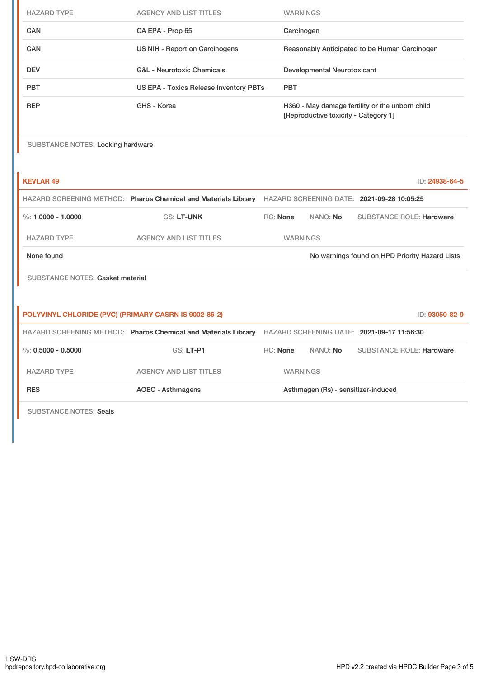| <b>HAZARD TYPE</b>                                           | <b>AGENCY AND LIST TITLES</b>                                  |                                                                                         | <b>WARNINGS</b>                                                                                           |                                     |                                            |                |
|--------------------------------------------------------------|----------------------------------------------------------------|-----------------------------------------------------------------------------------------|-----------------------------------------------------------------------------------------------------------|-------------------------------------|--------------------------------------------|----------------|
| <b>CAN</b>                                                   | CA EPA - Prop 65                                               |                                                                                         | Carcinogen                                                                                                |                                     |                                            |                |
| CAN                                                          | US NIH - Report on Carcinogens                                 |                                                                                         | Reasonably Anticipated to be Human Carcinogen                                                             |                                     |                                            |                |
| <b>DEV</b>                                                   | <b>G&amp;L</b> - Neurotoxic Chemicals                          |                                                                                         | Developmental Neurotoxicant                                                                               |                                     |                                            |                |
| <b>PBT</b>                                                   | <b>PBT</b><br>US EPA - Toxics Release Inventory PBTs           |                                                                                         |                                                                                                           |                                     |                                            |                |
| <b>REP</b>                                                   | GHS - Korea                                                    | H360 - May damage fertility or the unborn child<br>[Reproductive toxicity - Category 1] |                                                                                                           |                                     |                                            |                |
| <b>SUBSTANCE NOTES: Locking hardware</b>                     |                                                                |                                                                                         |                                                                                                           |                                     |                                            |                |
| <b>KEVLAR 49</b>                                             |                                                                |                                                                                         |                                                                                                           |                                     |                                            | ID: 24938-64-5 |
|                                                              |                                                                |                                                                                         | HAZARD SCREENING METHOD: Pharos Chemical and Materials Library HAZARD SCREENING DATE: 2021-09-28 10:05:25 |                                     |                                            |                |
| $\%: 1.0000 - 1.0000$                                        | <b>GS: LT-UNK</b>                                              | RC: None                                                                                |                                                                                                           | NANO: No                            | <b>SUBSTANCE ROLE: Hardware</b>            |                |
| <b>HAZARD TYPE</b>                                           | <b>AGENCY AND LIST TITLES</b>                                  |                                                                                         | <b>WARNINGS</b>                                                                                           |                                     |                                            |                |
| None found<br>No warnings found on HPD Priority Hazard Lists |                                                                |                                                                                         |                                                                                                           |                                     |                                            |                |
| <b>SUBSTANCE NOTES: Gasket material</b>                      |                                                                |                                                                                         |                                                                                                           |                                     |                                            |                |
|                                                              |                                                                |                                                                                         |                                                                                                           |                                     |                                            |                |
| POLYVINYL CHLORIDE (PVC) (PRIMARY CASRN IS 9002-86-2)        |                                                                |                                                                                         |                                                                                                           |                                     |                                            | ID: 93050-82-9 |
|                                                              | HAZARD SCREENING METHOD: Pharos Chemical and Materials Library |                                                                                         |                                                                                                           |                                     | HAZARD SCREENING DATE: 2021-09-17 11:56:30 |                |
| $\%$ : 0.5000 - 0.5000                                       | GS: LT-P1                                                      | <b>RC: None</b>                                                                         |                                                                                                           | NANO: No                            | <b>SUBSTANCE ROLE: Hardware</b>            |                |
| <b>HAZARD TYPE</b>                                           | <b>AGENCY AND LIST TITLES</b>                                  |                                                                                         | <b>WARNINGS</b>                                                                                           |                                     |                                            |                |
| <b>RES</b>                                                   | <b>AOEC - Asthmagens</b>                                       |                                                                                         |                                                                                                           | Asthmagen (Rs) - sensitizer-induced |                                            |                |
| <b>SUBSTANCE NOTES: Seals</b>                                |                                                                |                                                                                         |                                                                                                           |                                     |                                            |                |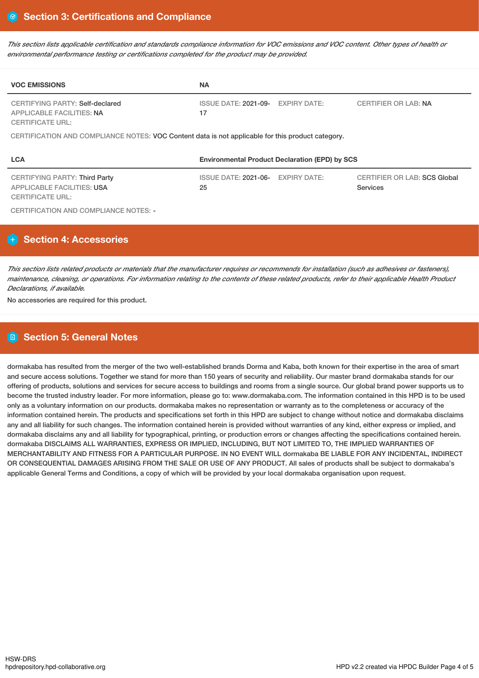This section lists applicable certification and standards compliance information for VOC emissions and VOC content. Other types of health or *environmental performance testing or certifications completed for the product may be provided.*

| <b>VOC EMISSIONS</b>                                                                                 | <b>NA</b>                                                  |                              |  |  |  |  |  |
|------------------------------------------------------------------------------------------------------|------------------------------------------------------------|------------------------------|--|--|--|--|--|
| CERTIFYING PARTY: Self-declared<br><b>APPLICABLE FACILITIES: NA</b><br><b>CERTIFICATE URL:</b>       | ISSUE DATE: 2021-09- EXPIRY DATE:<br>17                    | <b>CERTIFIER OR LAB: NA</b>  |  |  |  |  |  |
| CERTIFICATION AND COMPLIANCE NOTES: VOC Content data is not applicable for this product category.    |                                                            |                              |  |  |  |  |  |
| <b>LCA</b>                                                                                           | <b>Environmental Product Declaration (EPD) by SCS</b>      |                              |  |  |  |  |  |
| <b>CERTIFYING PARTY: Third Party</b><br><b>APPLICABLE FACILITIES: USA</b><br><b>CERTIFICATE URL:</b> | ISSUE DATE: 2021-06- EXPIRY DATE:<br>25<br><b>Services</b> | CERTIFIER OR LAB: SCS Global |  |  |  |  |  |

CERTIFICATION AND COMPLIANCE NOTES: -

# **Section 4: Accessories**

This section lists related products or materials that the manufacturer requires or recommends for installation (such as adhesives or fasteners), maintenance, cleaning, or operations. For information relating to the contents of these related products, refer to their applicable Health Product *Declarations, if available.*

No accessories are required for this product.

# **Section 5: General Notes**

dormakaba has resulted from the merger of the two well-established brands Dorma and Kaba, both known for their expertise in the area of smart and secure access solutions. Together we stand for more than 150 years of security and reliability. Our master brand dormakaba stands for our offering of products, solutions and services for secure access to buildings and rooms from a single source. Our global brand power supports us to become the trusted industry leader. For more information, please go to: www.dormakaba.com. The information contained in this HPD is to be used only as a voluntary information on our products. dormakaba makes no representation or warranty as to the completeness or accuracy of the information contained herein. The products and specifications set forth in this HPD are subject to change without notice and dormakaba disclaims any and all liability for such changes. The information contained herein is provided without warranties of any kind, either express or implied, and dormakaba disclaims any and all liability for typographical, printing, or production errors or changes affecting the specifications contained herein. dormakaba DISCLAIMS ALL WARRANTIES, EXPRESS OR IMPLIED, INCLUDING, BUT NOT LIMITED TO, THE IMPLIED WARRANTIES OF MERCHANTABILITY AND FITNESS FOR A PARTICULAR PURPOSE. IN NO EVENT WILL dormakaba BE LIABLE FOR ANY INCIDENTAL, INDIRECT OR CONSEQUENTIAL DAMAGES ARISING FROM THE SALE OR USE OF ANY PRODUCT. All sales of products shall be subject to dormakaba's applicable General Terms and Conditions, a copy of which will be provided by your local dormakaba organisation upon request.